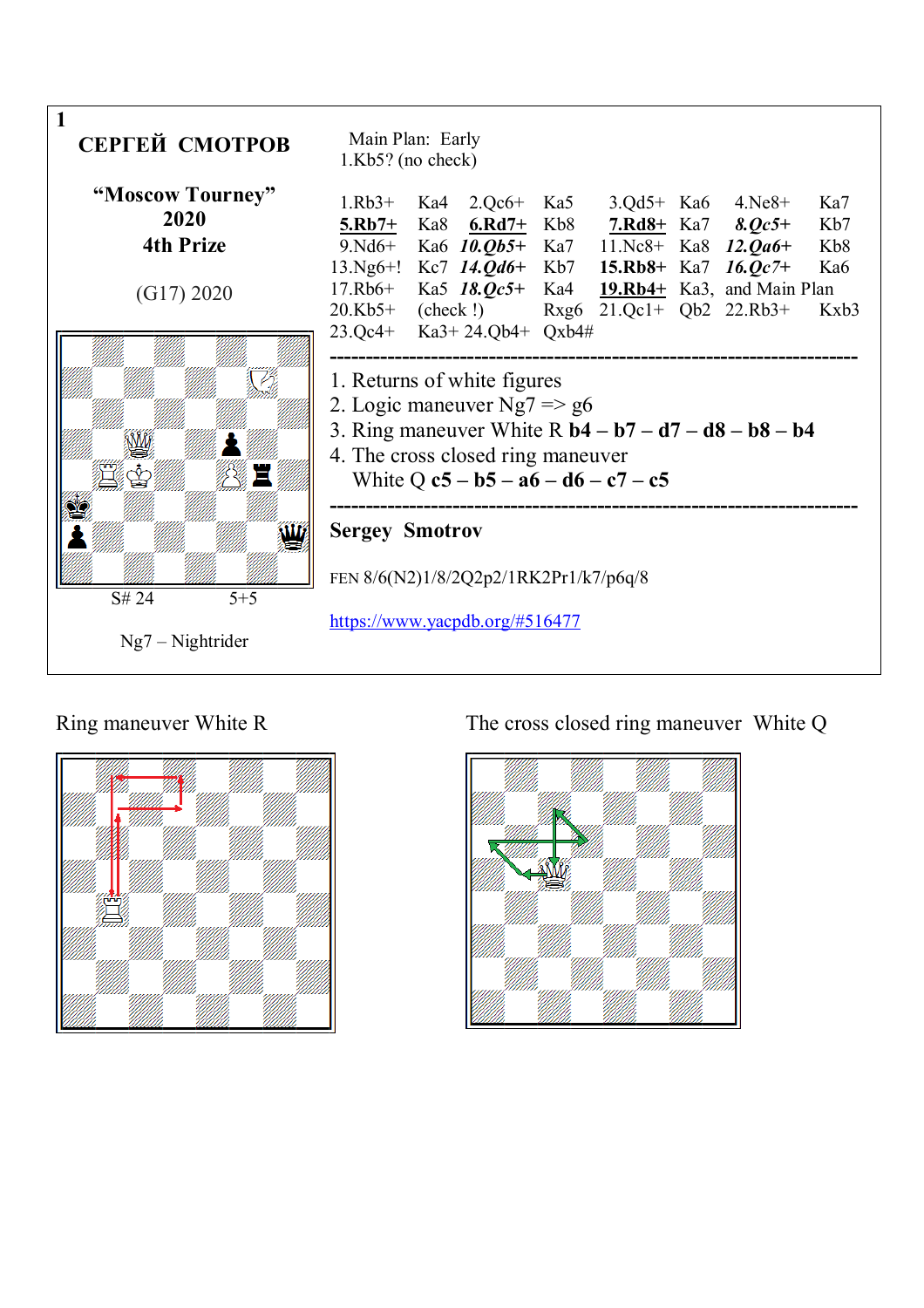



# Ring maneuver White R The cross closed ring maneuver White Q

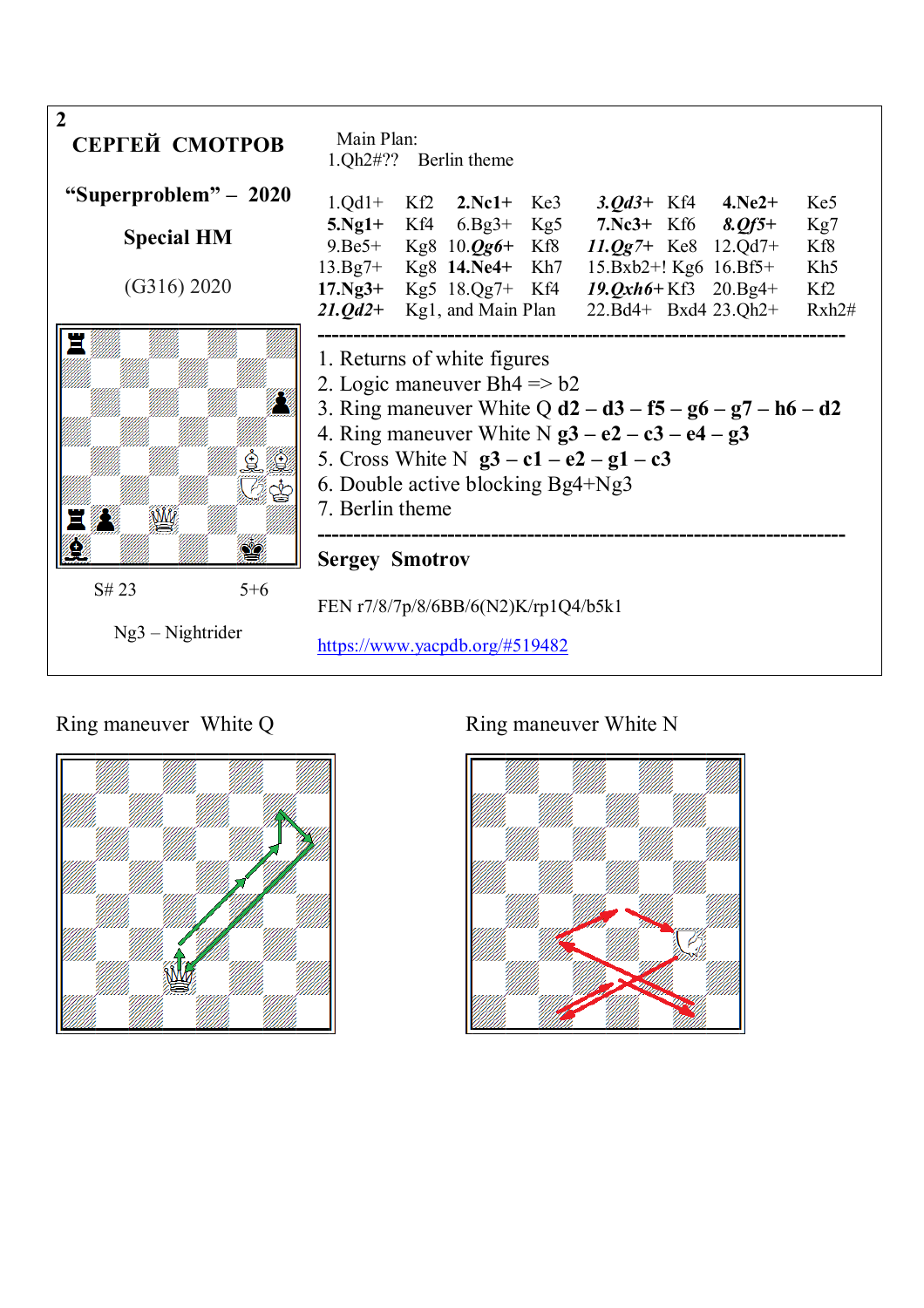

# Ring maneuver White Q Ring maneuver White N



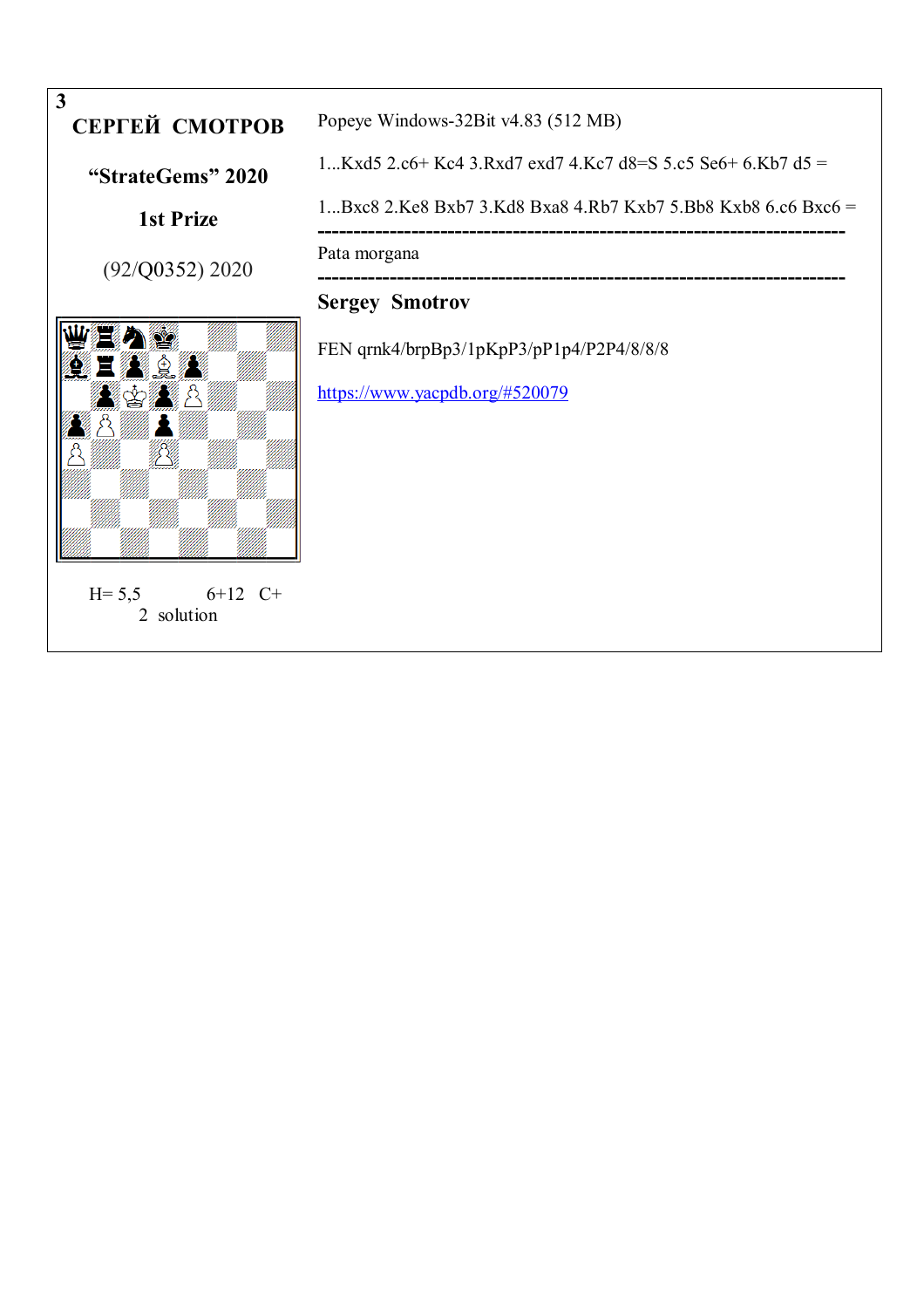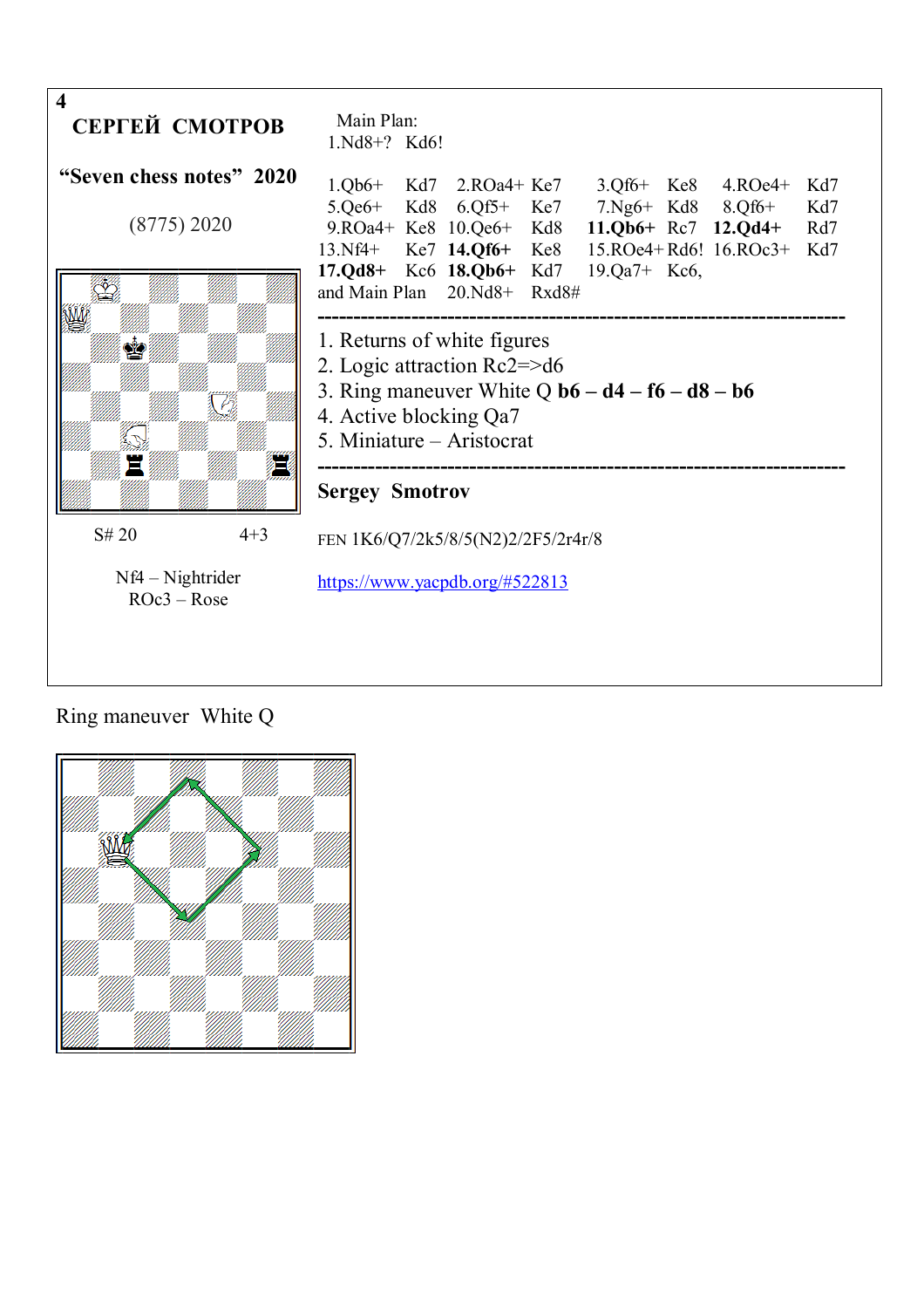

# Ring maneuver White Q

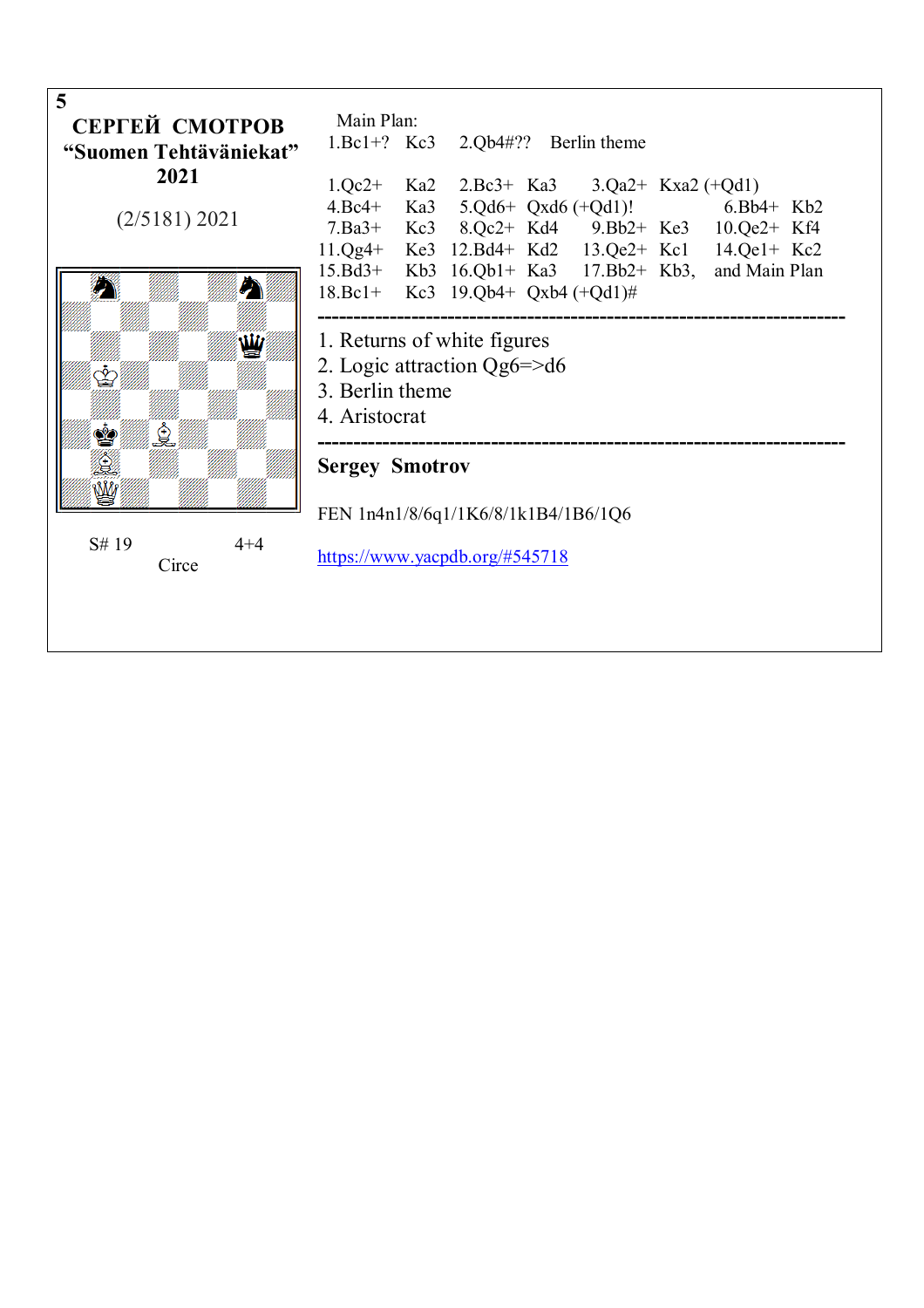